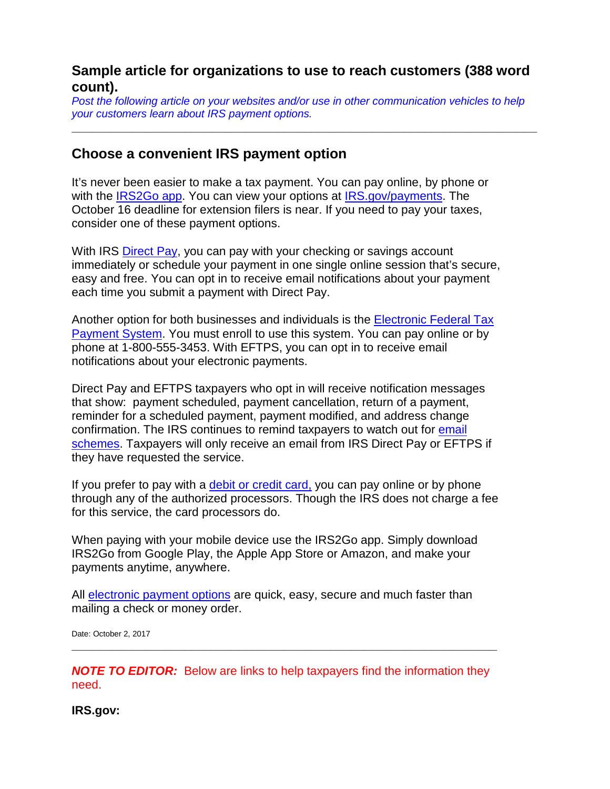## **Sample article for organizations to use to reach customers (388 word count).**

*Post the following article on your websites and/or use in other communication vehicles to help your customers learn about IRS payment options.* 

**\_\_\_\_\_\_\_\_\_\_\_\_\_\_\_\_\_\_\_\_\_\_\_\_\_\_\_\_\_\_\_\_\_\_\_\_\_\_\_\_\_\_\_\_\_\_\_\_\_\_\_\_\_\_\_\_\_\_\_\_\_\_\_\_\_\_\_\_\_\_**

## **Choose a convenient IRS payment option**

It's never been easier to make a tax payment. You can pay online, by phone or with the [IRS2Go app.](https://www.irs.gov/uac/irs2goapp) You can view your options at [IRS.gov/payments.](https://www.irs.gov/payments) The October 16 deadline for extension filers is near. If you need to pay your taxes, consider one of these payment options.

With IRS [Direct Pay,](https://www.irs.gov/payments/direct-pay) you can pay with your checking or savings account immediately or schedule your payment in one single online session that's secure, easy and free. You can opt in to receive email notifications about your payment each time you submit a payment with Direct Pay.

Another option for both businesses and individuals is the [Electronic Federal Tax](https://www.irs.gov/payments/eftps-the-electronic-federal-tax-payment-system)  [Payment System.](https://www.irs.gov/payments/eftps-the-electronic-federal-tax-payment-system) You must enroll to use this system. You can pay online or by phone at 1-800-555-3453. With EFTPS, you can opt in to receive email notifications about your electronic payments.

Direct Pay and EFTPS taxpayers who opt in will receive notification messages that show: payment scheduled, payment cancellation, return of a payment, reminder for a scheduled payment, payment modified, and address change confirmation. The IRS continues to remind taxpayers to watch out for [email](https://www.irs.gov/privacy-disclosure/report-phishing)  [schemes.](https://www.irs.gov/privacy-disclosure/report-phishing) Taxpayers will only receive an email from IRS Direct Pay or EFTPS if they have requested the service.

If you prefer to pay with a [debit or credit card,](https://www.irs.gov/uac/pay-taxes-by-credit-or-debit-card) you can pay online or by phone through any of the authorized processors. Though the IRS does not charge a fee for this service, the card processors do.

When paying with your mobile device use the IRS2Go app. Simply download IRS2Go from Google Play, the Apple App Store or Amazon, and make your payments anytime, anywhere.

All [electronic payment options](https://www.irs.gov/payments) are quick, easy, secure and much faster than mailing a check or money order.

Date: October 2, 2017

*NOTE TO EDITOR:* Below are links to help taxpayers find the information they need.

**\_\_\_\_\_\_\_\_\_\_\_\_\_\_\_\_\_\_\_\_\_\_\_\_\_\_\_\_\_\_\_\_\_\_\_\_\_\_\_\_\_\_\_\_\_\_\_\_\_\_\_\_\_\_\_\_\_\_\_\_\_\_\_\_**

**IRS.gov:**